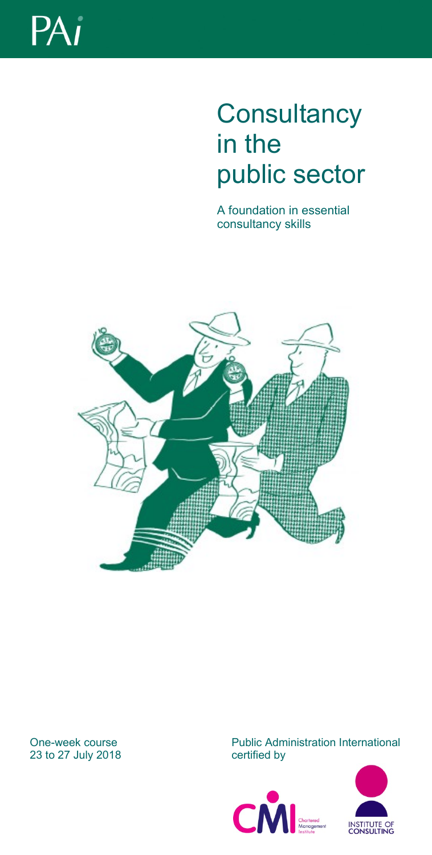

# **Consultancy** in the public sector

A foundation in essential consultancy skills



## 23 to 27 July 2018

One-week course Public Administration International<br>
23 to 27 July 2018<br>
23 to 27 July 2018



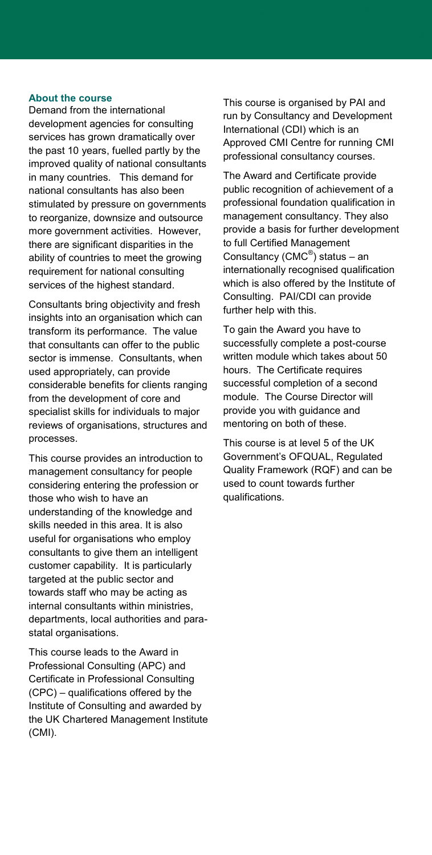#### **About the course**

Demand from the international development agencies for consulting services has grown dramatically over the past 10 years, fuelled partly by the improved quality of national consultants in many countries. This demand for national consultants has also been stimulated by pressure on governments to reorganize, downsize and outsource more government activities. However, there are significant disparities in the ability of countries to meet the growing requirement for national consulting services of the highest standard.

Consultants bring objectivity and fresh insights into an organisation which can transform its performance. The value that consultants can offer to the public sector is immense. Consultants, when used appropriately, can provide considerable benefits for clients ranging from the development of core and specialist skills for individuals to major reviews of organisations, structures and processes.

This course provides an introduction to management consultancy for people considering entering the profession or those who wish to have an understanding of the knowledge and skills needed in this area. It is also useful for organisations who employ consultants to give them an intelligent customer capability. It is particularly targeted at the public sector and towards staff who may be acting as internal consultants within ministries, departments, local authorities and parastatal organisations.

This course leads to the Award in Professional Consulting (APC) and Certificate in Professional Consulting (CPC) – qualifications offered by the Institute of Consulting and awarded by the UK Chartered Management Institute (CMI).

This course is organised by PAI and run by Consultancy and Development International (CDI) which is an Approved CMI Centre for running CMI professional consultancy courses.

The Award and Certificate provide public recognition of achievement of a professional foundation qualification in management consultancy. They also provide a basis for further development to full Certified Management Consultancy (CMC® ) status – an internationally recognised qualification which is also offered by the Institute of Consulting. PAI/CDI can provide further help with this.

To gain the Award you have to successfully complete a post-course written module which takes about 50 hours. The Certificate requires successful completion of a second module. The Course Director will provide you with guidance and mentoring on both of these.

This course is at level 5 of the UK Government's OFQUAL, Regulated Quality Framework (RQF) and can be used to count towards further qualifications.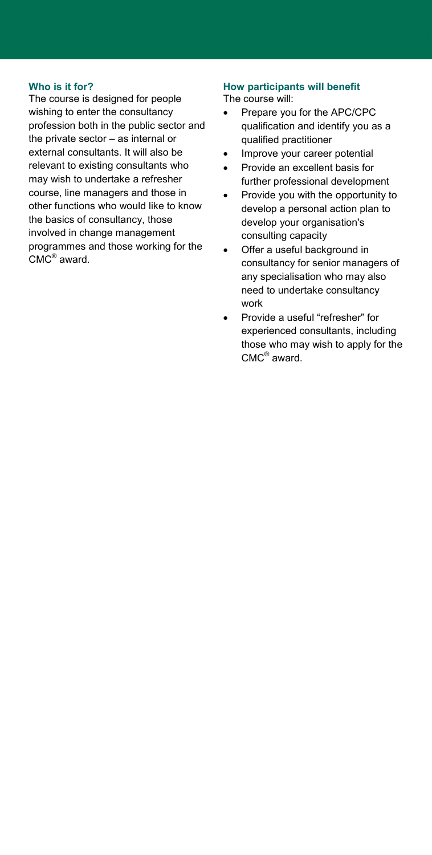#### **Who is it for?**

The course is designed for people wishing to enter the consultancy profession both in the public sector and the private sector – as internal or external consultants. It will also be relevant to existing consultants who may wish to undertake a refresher course, line managers and those in other functions who would like to know the basics of consultancy, those involved in change management programmes and those working for the CMC® award.

### **How participants will benefit**

The course will:

- Prepare you for the APC/CPC qualification and identify you as a qualified practitioner
- Improve your career potential
- Provide an excellent basis for further professional development
- Provide you with the opportunity to develop a personal action plan to develop your organisation's consulting capacity
- Offer a useful background in consultancy for senior managers of any specialisation who may also need to undertake consultancy work
- Provide a useful "refresher" for experienced consultants, including those who may wish to apply for the CMC® award.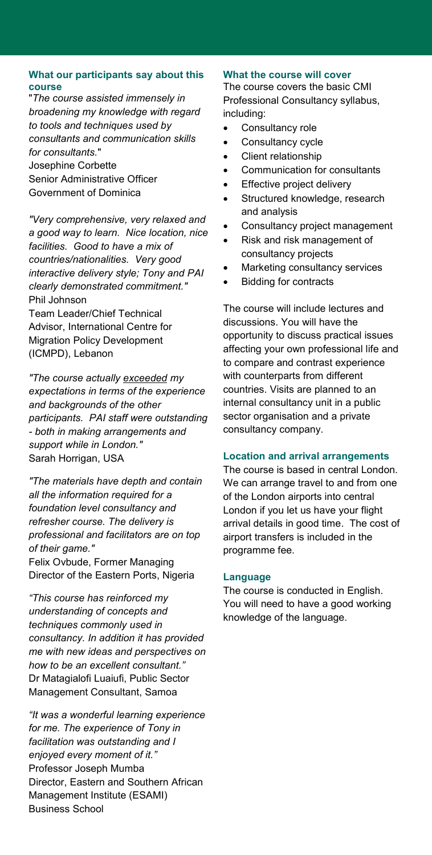#### **What our participants say about this course**

"*The course assisted immensely in broadening my knowledge with regard to tools and techniques used by consultants and communication skills for consultants.*" Josephine Corbette Senior Administrative Officer Government of Dominica

*"Very comprehensive, very relaxed and a good way to learn. Nice location, nice facilities. Good to have a mix of countries/nationalities. Very good interactive delivery style; Tony and PAI clearly demonstrated commitment."* Phil Johnson

Team Leader/Chief Technical Advisor, International Centre for Migration Policy Development (ICMPD), Lebanon

*"The course actually exceeded my expectations in terms of the experience and backgrounds of the other participants. PAI staff were outstanding - both in making arrangements and support while in London."*  Sarah Horrigan, USA

*"The materials have depth and contain all the information required for a foundation level consultancy and refresher course. The delivery is professional and facilitators are on top of their game."*

Felix Ovbude, Former Managing Director of the Eastern Ports, Nigeria

*"This course has reinforced my understanding of concepts and techniques commonly used in consultancy. In addition it has provided me with new ideas and perspectives on how to be an excellent consultant."* Dr Matagialofi Luaiufi, Public Sector Management Consultant, Samoa

*"It was a wonderful learning experience for me. The experience of Tony in facilitation was outstanding and I enjoyed every moment of it."* Professor Joseph Mumba Director, Eastern and Southern African Management Institute (ESAMI) Business School

#### **What the course will cover**

The course covers the basic CMI Professional Consultancy syllabus, including:

- Consultancy role
- Consultancy cycle
- Client relationship
- Communication for consultants
- Effective project delivery
- Structured knowledge, research and analysis
- Consultancy project management
- Risk and risk management of consultancy projects
- Marketing consultancy services
- Bidding for contracts

The course will include lectures and discussions. You will have the opportunity to discuss practical issues affecting your own professional life and to compare and contrast experience with counterparts from different countries. Visits are planned to an internal consultancy unit in a public sector organisation and a private consultancy company.

#### **Location and arrival arrangements**

The course is based in central London. We can arrange travel to and from one of the London airports into central London if you let us have your flight arrival details in good time. The cost of airport transfers is included in the programme fee.

#### **Language**

The course is conducted in English. You will need to have a good working knowledge of the language.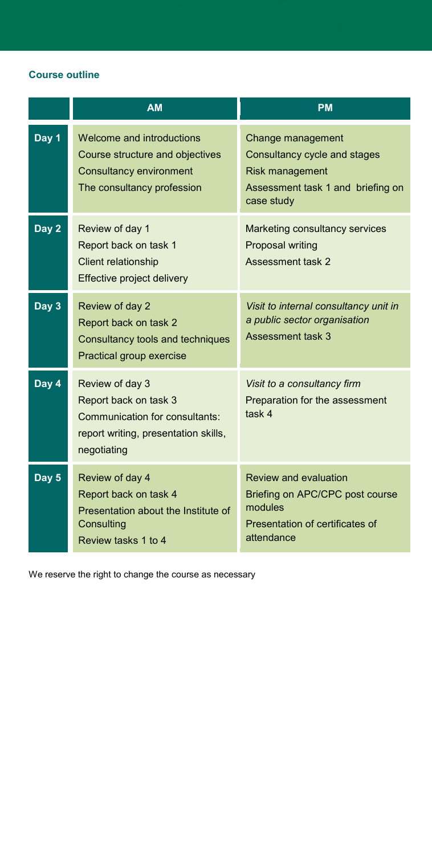#### **Course outline**

|       | <b>AM</b>                                                                                                                         | <b>PM</b>                                                                                                                   |
|-------|-----------------------------------------------------------------------------------------------------------------------------------|-----------------------------------------------------------------------------------------------------------------------------|
| Day 1 | Welcome and introductions<br>Course structure and objectives<br><b>Consultancy environment</b><br>The consultancy profession      | Change management<br>Consultancy cycle and stages<br>Risk management<br>Assessment task 1 and briefing on<br>case study     |
| Day 2 | Review of day 1<br>Report back on task 1<br><b>Client relationship</b><br>Effective project delivery                              | Marketing consultancy services<br><b>Proposal writing</b><br><b>Assessment task 2</b>                                       |
| Day 3 | Review of day 2<br>Report back on task 2<br>Consultancy tools and techniques<br>Practical group exercise                          | Visit to internal consultancy unit in<br>a public sector organisation<br><b>Assessment task 3</b>                           |
| Day 4 | Review of day 3<br>Report back on task 3<br>Communication for consultants:<br>report writing, presentation skills,<br>negotiating | Visit to a consultancy firm<br>Preparation for the assessment<br>task 4                                                     |
| Day 5 | Review of day 4<br>Report back on task 4<br>Presentation about the Institute of<br>Consulting<br>Review tasks 1 to 4              | <b>Review and evaluation</b><br>Briefing on APC/CPC post course<br>modules<br>Presentation of certificates of<br>attendance |

We reserve the right to change the course as necessary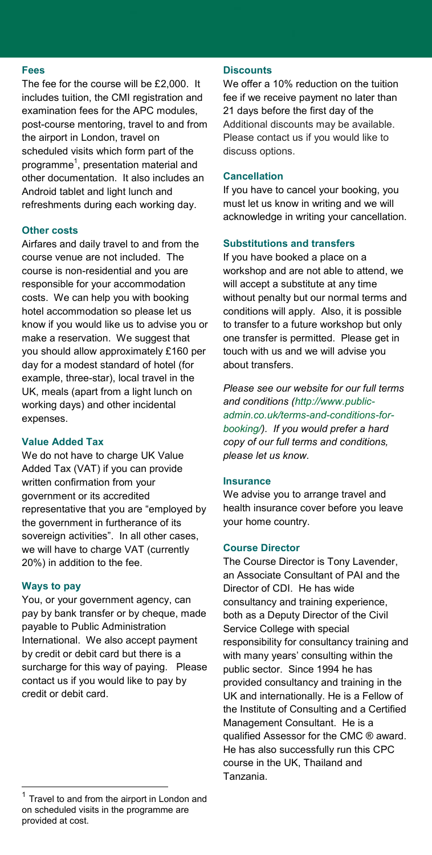#### **Fees**

The fee for the course will be £2,000. It includes tuition, the CMI registration and examination fees for the APC modules, post-course mentoring, travel to and from the airport in London, travel on scheduled visits which form part of the programme<sup>1</sup>, presentation material and other documentation. It also includes an Android tablet and light lunch and refreshments during each working day.

#### **Other costs**

Airfares and daily travel to and from the course venue are not included. The course is non-residential and you are responsible for your accommodation costs. We can help you with booking hotel accommodation so please let us know if you would like us to advise you or make a reservation. We suggest that you should allow approximately £160 per day for a modest standard of hotel (for example, three-star), local travel in the UK, meals (apart from a light lunch on working days) and other incidental expenses.

#### **Value Added Tax**

We do not have to charge UK Value Added Tax (VAT) if you can provide written confirmation from your government or its accredited representative that you are "employed by the government in furtherance of its sovereign activities". In all other cases, we will have to charge VAT (currently 20%) in addition to the fee.

#### **Ways to pay**

You, or your government agency, can pay by bank transfer or by cheque, made payable to Public Administration International. We also accept payment by credit or debit card but there is a surcharge for this way of paying. Please contact us if you would like to pay by credit or debit card.

#### **Discounts**

We offer a 10% reduction on the tuition fee if we receive payment no later than 21 days before the first day of the Additional discounts may be available. Please contact us if you would like to discuss options.

#### **Cancellation**

If you have to cancel your booking, you must let us know in writing and we will acknowledge in writing your cancellation.

#### **Substitutions and transfers**

If you have booked a place on a workshop and are not able to attend, we will accept a substitute at any time without penalty but our normal terms and conditions will apply. Also, it is possible to transfer to a future workshop but only one transfer is permitted. Please get in touch with us and we will advise you about transfers.

*Please see our website for our full terms and conditions [\(http://www.public](http://www.public-admin.co.uk/terms-and-conditions-for-booking/)[admin.co.uk/terms-and-conditions-for](http://www.public-admin.co.uk/terms-and-conditions-for-booking/)[booking/\)](http://www.public-admin.co.uk/terms-and-conditions-for-booking/). If you would prefer a hard copy of our full terms and conditions, please let us know.*

#### **Insurance**

We advise you to arrange travel and health insurance cover before you leave your home country.

#### **Course Director**

The Course Director is Tony Lavender, an Associate Consultant of PAI and the Director of CDI. He has wide consultancy and training experience, both as a Deputy Director of the Civil Service College with special responsibility for consultancy training and with many years' consulting within the public sector. Since 1994 he has provided consultancy and training in the UK and internationally. He is a Fellow of the Institute of Consulting and a Certified Management Consultant. He is a qualified Assessor for the CMC ® award. He has also successfully run this CPC course in the UK, Thailand and Tanzania.

<sup>1</sup> Travel to and from the airport in London and on scheduled visits in the programme are provided at cost.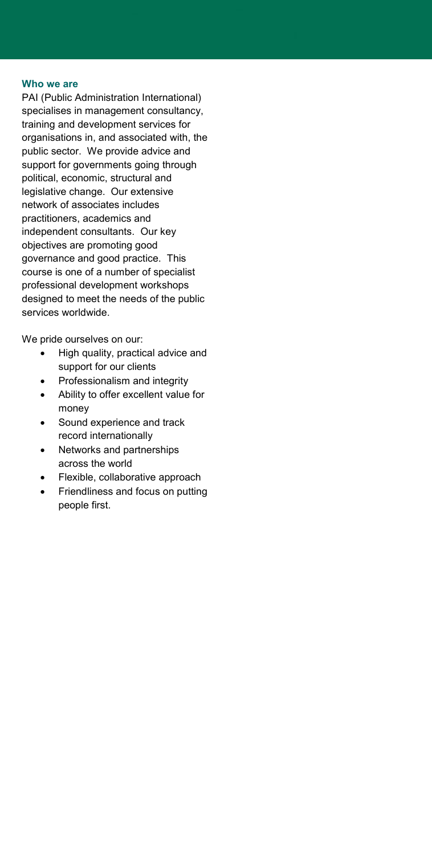#### **Who we are**

PAI (Public Administration International) specialises in management consultancy, training and development services for organisations in, and associated with, the public sector. We provide advice and support for governments going through political, economic, structural and legislative change. Our extensive network of associates includes practitioners, academics and independent consultants. Our key objectives are promoting good governance and good practice. This course is one of a number of specialist professional development workshops designed to meet the needs of the public services worldwide.

We pride ourselves on our:

- High quality, practical advice and support for our clients
- Professionalism and integrity
- Ability to offer excellent value for money
- Sound experience and track record internationally
- Networks and partnerships across the world
- Flexible, collaborative approach
- Friendliness and focus on putting people first.